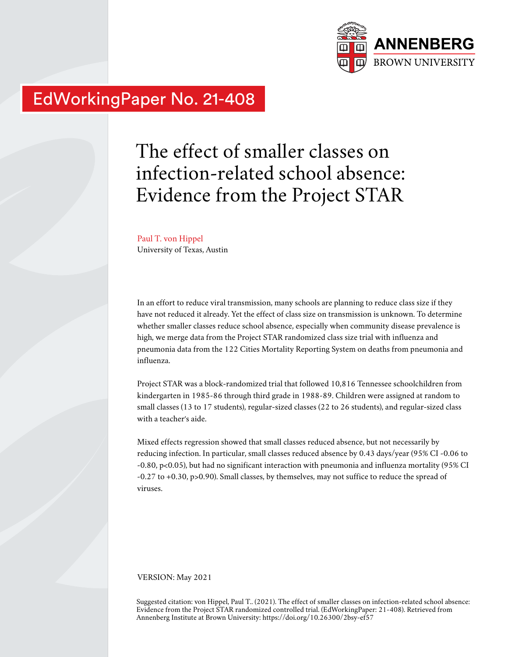

# EdWorkingPaper No. 21-408

# The effect of smaller classes on infection-related school absence: Evidence from the Project STAR

Paul T. von Hippel University of Texas, Austin

In an effort to reduce viral transmission, many schools are planning to reduce class size if they have not reduced it already. Yet the effect of class size on transmission is unknown. To determine whether smaller classes reduce school absence, especially when community disease prevalence is high, we merge data from the Project STAR randomized class size trial with influenza and pneumonia data from the 122 Cities Mortality Reporting System on deaths from pneumonia and influenza.

Project STAR was a block-randomized trial that followed 10,816 Tennessee schoolchildren from kindergarten in 1985-86 through third grade in 1988-89. Children were assigned at random to small classes (13 to 17 students), regular-sized classes (22 to 26 students), and regular-sized class with a teacher's aide.

Mixed effects regression showed that small classes reduced absence, but not necessarily by reducing infection. In particular, small classes reduced absence by 0.43 days/year (95% CI -0.06 to -0.80, p<0.05), but had no significant interaction with pneumonia and influenza mortality (95% CI -0.27 to +0.30, p>0.90). Small classes, by themselves, may not suffice to reduce the spread of viruses.

VERSION: May 2021

Suggested citation: von Hippel, Paul T.. (2021). The effect of smaller classes on infection-related school absence: Evidence from the Project STAR randomized controlled trial. (EdWorkingPaper: 21-408). Retrieved from Annenberg Institute at Brown University: https://doi.org/10.26300/2bsy-ef57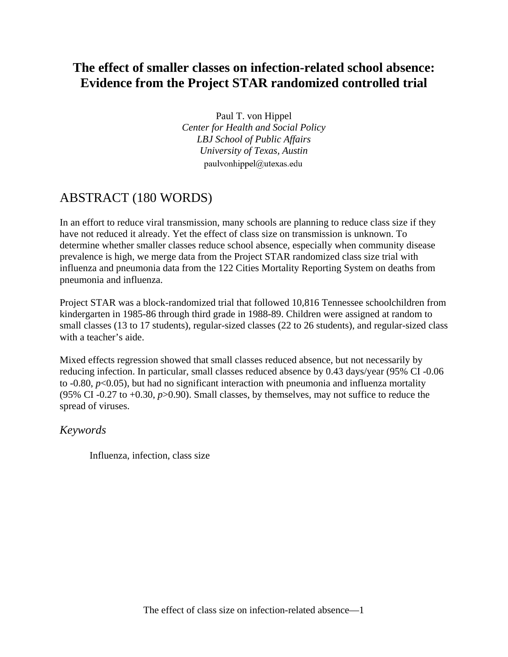## **The effect of smaller classes on infection-related school absence: Evidence from the Project STAR randomized controlled trial**

Paul T. von Hippel *Center for Health and Social Policy LBJ School of Public Affairs University of Texas, Austin* paulvonhippel@utexas.edu

### ABSTRACT (180 WORDS)

In an effort to reduce viral transmission, many schools are planning to reduce class size if they have not reduced it already. Yet the effect of class size on transmission is unknown. To determine whether smaller classes reduce school absence, especially when community disease prevalence is high, we merge data from the Project STAR randomized class size trial with influenza and pneumonia data from the 122 Cities Mortality Reporting System on deaths from pneumonia and influenza.

Project STAR was a block-randomized trial that followed 10,816 Tennessee schoolchildren from kindergarten in 1985-86 through third grade in 1988-89. Children were assigned at random to small classes (13 to 17 students), regular-sized classes (22 to 26 students), and regular-sized class with a teacher's aide.

Mixed effects regression showed that small classes reduced absence, but not necessarily by reducing infection. In particular, small classes reduced absence by 0.43 days/year (95% CI -0.06 to  $-0.80$ ,  $p<0.05$ ), but had no significant interaction with pneumonia and influenza mortality (95% CI -0.27 to +0.30, *p*>0.90). Small classes, by themselves, may not suffice to reduce the spread of viruses.

### *Keywords*

Influenza, infection, class size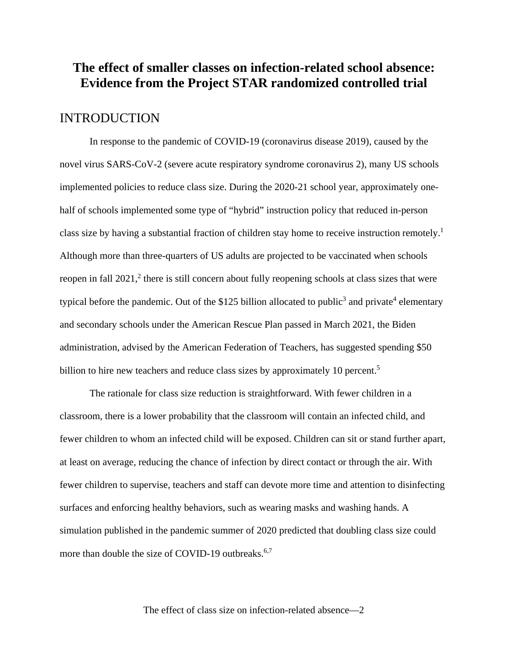### **The effect of smaller classes on infection-related school absence: Evidence from the Project STAR randomized controlled trial**

#### INTRODUCTION

In response to the pandemic of COVID-19 (coronavirus disease 2019), caused by the novel virus SARS-CoV-2 (severe acute respiratory syndrome coronavirus 2), many US schools implemented policies to reduce class size. During the 2020-21 school year, approximately onehalf of schools implemented some type of "hybrid" instruction policy that reduced in-person class size by having a substantial fraction of children stay home to receive instruction remotely.<sup>1</sup> Although more than three-quarters of US adults are projected to be vaccinated when schools reopen in fall 2021,<sup>2</sup> there is still concern about fully reopening schools at class sizes that were typical before the pandemic. Out of the \$125 billion allocated to public<sup>3</sup> and private<sup>4</sup> elementary and secondary schools under the American Rescue Plan passed in March 2021, the Biden administration, advised by the American Federation of Teachers, has suggested spending \$50 billion to hire new teachers and reduce class sizes by approximately 10 percent.<sup>5</sup>

The rationale for class size reduction is straightforward. With fewer children in a classroom, there is a lower probability that the classroom will contain an infected child, and fewer children to whom an infected child will be exposed. Children can sit or stand further apart, at least on average, reducing the chance of infection by direct contact or through the air. With fewer children to supervise, teachers and staff can devote more time and attention to disinfecting surfaces and enforcing healthy behaviors, such as wearing masks and washing hands. A simulation published in the pandemic summer of 2020 predicted that doubling class size could more than double the size of COVID-19 outbreaks.<sup>6,7</sup>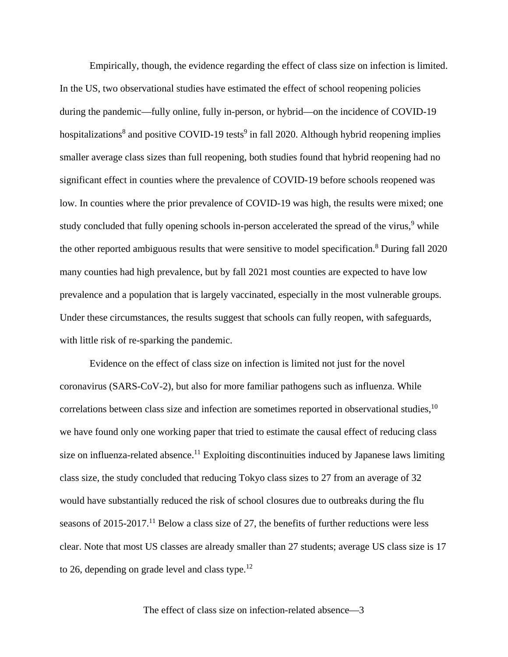Empirically, though, the evidence regarding the effect of class size on infection is limited. In the US, two observational studies have estimated the effect of school reopening policies during the pandemic—fully online, fully in-person, or hybrid—on the incidence of COVID-19 hospitalizations<sup>8</sup> and positive COVID-19 tests<sup>9</sup> in fall 2020. Although hybrid reopening implies smaller average class sizes than full reopening, both studies found that hybrid reopening had no significant effect in counties where the prevalence of COVID-19 before schools reopened was low. In counties where the prior prevalence of COVID-19 was high, the results were mixed; one study concluded that fully opening schools in-person accelerated the spread of the virus,<sup>9</sup> while the other reported ambiguous results that were sensitive to model specification.<sup>8</sup> During fall 2020 many counties had high prevalence, but by fall 2021 most counties are expected to have low prevalence and a population that is largely vaccinated, especially in the most vulnerable groups. Under these circumstances, the results suggest that schools can fully reopen, with safeguards, with little risk of re-sparking the pandemic.

Evidence on the effect of class size on infection is limited not just for the novel coronavirus (SARS-CoV-2), but also for more familiar pathogens such as influenza. While correlations between class size and infection are sometimes reported in observational studies,  $10$ we have found only one working paper that tried to estimate the causal effect of reducing class size on influenza-related absence.<sup>11</sup> Exploiting discontinuities induced by Japanese laws limiting class size, the study concluded that reducing Tokyo class sizes to 27 from an average of 32 would have substantially reduced the risk of school closures due to outbreaks during the flu seasons of  $2015-2017$ .<sup>11</sup> Below a class size of 27, the benefits of further reductions were less clear. Note that most US classes are already smaller than 27 students; average US class size is 17 to 26, depending on grade level and class type. $^{12}$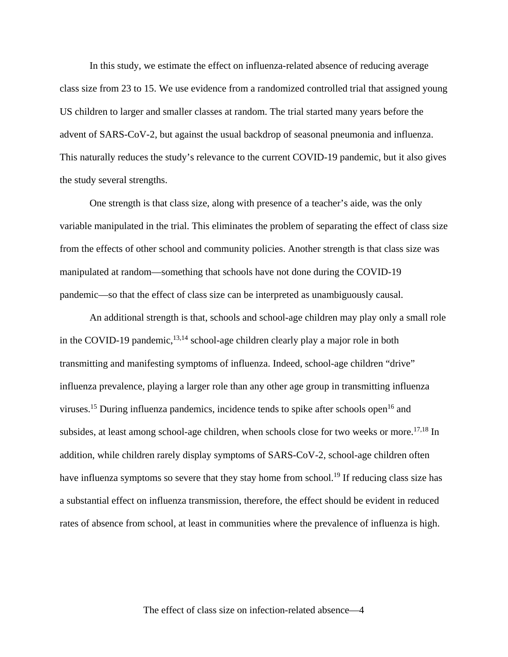In this study, we estimate the effect on influenza-related absence of reducing average class size from 23 to 15. We use evidence from a randomized controlled trial that assigned young US children to larger and smaller classes at random. The trial started many years before the advent of SARS-CoV-2, but against the usual backdrop of seasonal pneumonia and influenza. This naturally reduces the study's relevance to the current COVID-19 pandemic, but it also gives the study several strengths.

One strength is that class size, along with presence of a teacher's aide, was the only variable manipulated in the trial. This eliminates the problem of separating the effect of class size from the effects of other school and community policies. Another strength is that class size was manipulated at random—something that schools have not done during the COVID-19 pandemic—so that the effect of class size can be interpreted as unambiguously causal.

An additional strength is that, schools and school-age children may play only a small role in the COVID-19 pandemic,  $^{13,14}$  school-age children clearly play a major role in both transmitting and manifesting symptoms of influenza. Indeed, school-age children "drive" influenza prevalence, playing a larger role than any other age group in transmitting influenza viruses.<sup>15</sup> During influenza pandemics, incidence tends to spike after schools open<sup>16</sup> and subsides, at least among school-age children, when schools close for two weeks or more.<sup>17,18</sup> In addition, while children rarely display symptoms of SARS-CoV-2, school-age children often have influenza symptoms so severe that they stay home from school.<sup>19</sup> If reducing class size has a substantial effect on influenza transmission, therefore, the effect should be evident in reduced rates of absence from school, at least in communities where the prevalence of influenza is high.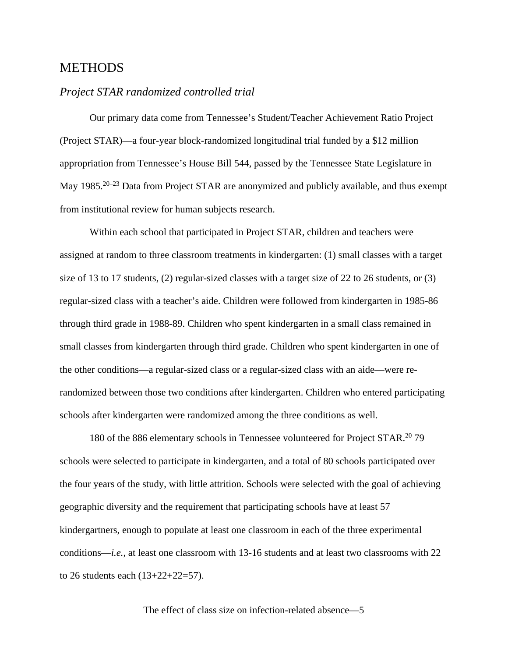#### METHODS

#### *Project STAR randomized controlled trial*

Our primary data come from Tennessee's Student/Teacher Achievement Ratio Project (Project STAR)—a four-year block-randomized longitudinal trial funded by a \$12 million appropriation from Tennessee's House Bill 544, passed by the Tennessee State Legislature in May 1985.<sup>20–23</sup> Data from Project STAR are anonymized and publicly available, and thus exempt from institutional review for human subjects research.

Within each school that participated in Project STAR, children and teachers were assigned at random to three classroom treatments in kindergarten: (1) small classes with a target size of 13 to 17 students, (2) regular-sized classes with a target size of 22 to 26 students, or (3) regular-sized class with a teacher's aide. Children were followed from kindergarten in 1985-86 through third grade in 1988-89. Children who spent kindergarten in a small class remained in small classes from kindergarten through third grade. Children who spent kindergarten in one of the other conditions—a regular-sized class or a regular-sized class with an aide—were rerandomized between those two conditions after kindergarten. Children who entered participating schools after kindergarten were randomized among the three conditions as well.

180 of the 886 elementary schools in Tennessee volunteered for Project STAR.20 79 schools were selected to participate in kindergarten, and a total of 80 schools participated over the four years of the study, with little attrition. Schools were selected with the goal of achieving geographic diversity and the requirement that participating schools have at least 57 kindergartners, enough to populate at least one classroom in each of the three experimental conditions—*i.e.*, at least one classroom with 13-16 students and at least two classrooms with 22 to 26 students each (13+22+22=57).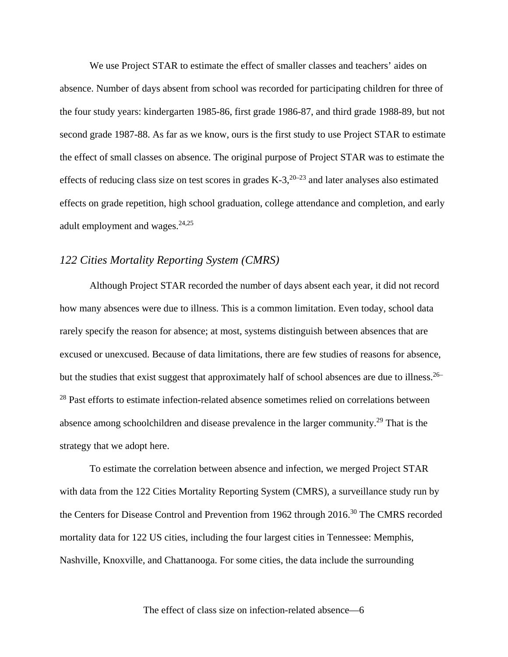We use Project STAR to estimate the effect of smaller classes and teachers' aides on absence. Number of days absent from school was recorded for participating children for three of the four study years: kindergarten 1985-86, first grade 1986-87, and third grade 1988-89, but not second grade 1987-88. As far as we know, ours is the first study to use Project STAR to estimate the effect of small classes on absence. The original purpose of Project STAR was to estimate the effects of reducing class size on test scores in grades  $K-3$ ,  $20-23$  and later analyses also estimated effects on grade repetition, high school graduation, college attendance and completion, and early adult employment and wages. $24,25$ 

#### *122 Cities Mortality Reporting System (CMRS)*

Although Project STAR recorded the number of days absent each year, it did not record how many absences were due to illness. This is a common limitation. Even today, school data rarely specify the reason for absence; at most, systems distinguish between absences that are excused or unexcused. Because of data limitations, there are few studies of reasons for absence, but the studies that exist suggest that approximately half of school absences are due to illness.<sup>26–</sup> <sup>28</sup> Past efforts to estimate infection-related absence sometimes relied on correlations between absence among schoolchildren and disease prevalence in the larger community.29 That is the strategy that we adopt here.

To estimate the correlation between absence and infection, we merged Project STAR with data from the 122 Cities Mortality Reporting System (CMRS), a surveillance study run by the Centers for Disease Control and Prevention from 1962 through 2016.<sup>30</sup> The CMRS recorded mortality data for 122 US cities, including the four largest cities in Tennessee: Memphis, Nashville, Knoxville, and Chattanooga. For some cities, the data include the surrounding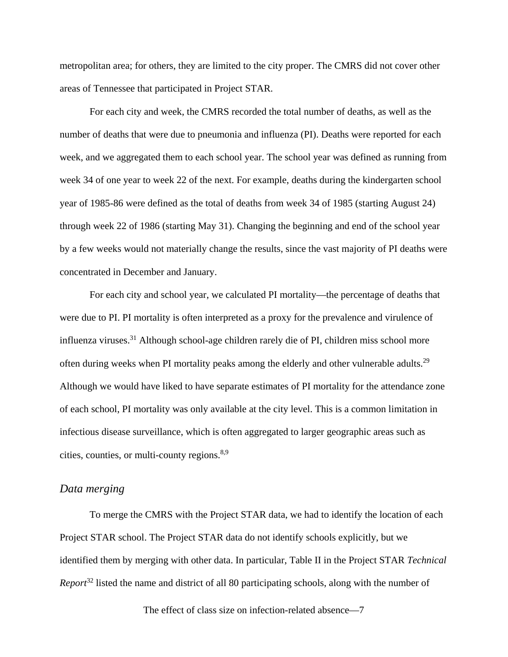metropolitan area; for others, they are limited to the city proper. The CMRS did not cover other areas of Tennessee that participated in Project STAR.

For each city and week, the CMRS recorded the total number of deaths, as well as the number of deaths that were due to pneumonia and influenza (PI). Deaths were reported for each week, and we aggregated them to each school year. The school year was defined as running from week 34 of one year to week 22 of the next. For example, deaths during the kindergarten school year of 1985-86 were defined as the total of deaths from week 34 of 1985 (starting August 24) through week 22 of 1986 (starting May 31). Changing the beginning and end of the school year by a few weeks would not materially change the results, since the vast majority of PI deaths were concentrated in December and January.

For each city and school year, we calculated PI mortality—the percentage of deaths that were due to PI. PI mortality is often interpreted as a proxy for the prevalence and virulence of influenza viruses.<sup>31</sup> Although school-age children rarely die of PI, children miss school more often during weeks when PI mortality peaks among the elderly and other vulnerable adults.<sup>29</sup> Although we would have liked to have separate estimates of PI mortality for the attendance zone of each school, PI mortality was only available at the city level. This is a common limitation in infectious disease surveillance, which is often aggregated to larger geographic areas such as cities, counties, or multi-county regions.8,9

#### *Data merging*

To merge the CMRS with the Project STAR data, we had to identify the location of each Project STAR school. The Project STAR data do not identify schools explicitly, but we identified them by merging with other data. In particular, Table II in the Project STAR *Technical Report*<sup>32</sup> listed the name and district of all 80 participating schools, along with the number of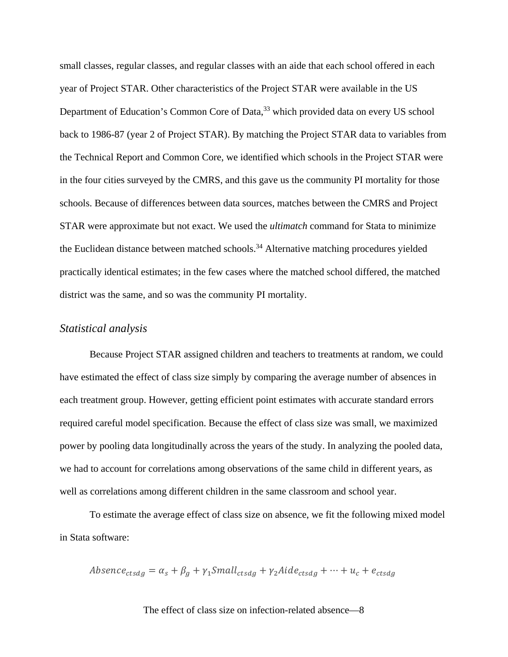small classes, regular classes, and regular classes with an aide that each school offered in each year of Project STAR. Other characteristics of the Project STAR were available in the US Department of Education's Common Core of Data,<sup>33</sup> which provided data on every US school back to 1986-87 (year 2 of Project STAR). By matching the Project STAR data to variables from the Technical Report and Common Core, we identified which schools in the Project STAR were in the four cities surveyed by the CMRS, and this gave us the community PI mortality for those schools. Because of differences between data sources, matches between the CMRS and Project STAR were approximate but not exact. We used the *ultimatch* command for Stata to minimize the Euclidean distance between matched schools.<sup>34</sup> Alternative matching procedures yielded practically identical estimates; in the few cases where the matched school differed, the matched district was the same, and so was the community PI mortality.

#### *Statistical analysis*

Because Project STAR assigned children and teachers to treatments at random, we could have estimated the effect of class size simply by comparing the average number of absences in each treatment group. However, getting efficient point estimates with accurate standard errors required careful model specification. Because the effect of class size was small, we maximized power by pooling data longitudinally across the years of the study. In analyzing the pooled data, we had to account for correlations among observations of the same child in different years, as well as correlations among different children in the same classroom and school year.

To estimate the average effect of class size on absence, we fit the following mixed model in Stata software:

$$
Absence_{ctsdg} = \alpha_s + \beta_g + \gamma_1 Small_{ctsdg} + \gamma_2Aide_{ctsdg} + \dots + u_c + e_{ctsdg}
$$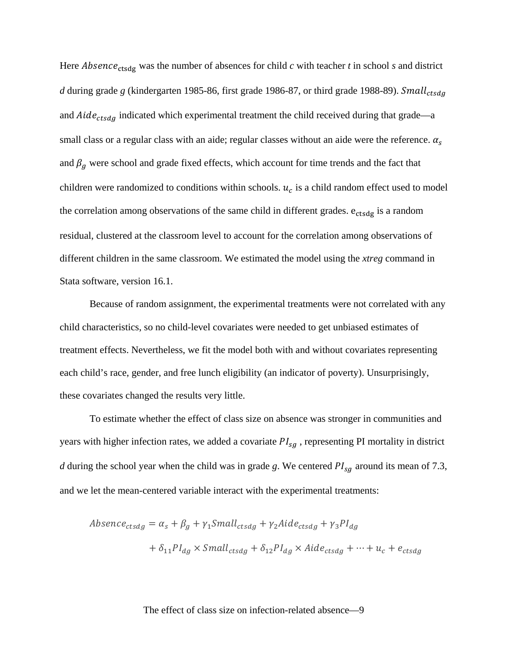Here *Absence*<sub>ctsdg</sub> was the number of absences for child  $c$  with teacher  $t$  in school  $s$  and district *d* during grade *g* (kindergarten 1985-86, first grade 1986-87, or third grade 1988-89). and  $Aide_{ctsdg}$  indicated which experimental treatment the child received during that grade—a small class or a regular class with an aide; regular classes without an aide were the reference.  $\alpha_s$ and  $\beta_g$  were school and grade fixed effects, which account for time trends and the fact that children were randomized to conditions within schools.  $u_c$  is a child random effect used to model the correlation among observations of the same child in different grades.  $e_{ctsdg}$  is a random residual, clustered at the classroom level to account for the correlation among observations of different children in the same classroom. We estimated the model using the *xtreg* command in Stata software, version 16.1.

Because of random assignment, the experimental treatments were not correlated with any child characteristics, so no child-level covariates were needed to get unbiased estimates of treatment effects. Nevertheless, we fit the model both with and without covariates representing each child's race, gender, and free lunch eligibility (an indicator of poverty). Unsurprisingly, these covariates changed the results very little.

To estimate whether the effect of class size on absence was stronger in communities and years with higher infection rates, we added a covariate  $PI_{sa}$ , representing PI mortality in district *d* during the school year when the child was in grade *g*. We centered  $PI_{sg}$  around its mean of 7.3, and we let the mean-centered variable interact with the experimental treatments:

$$
Absence_{ctsdg} = \alpha_s + \beta_g + \gamma_1 Small_{ctsdg} + \gamma_2Aide_{ctsdg} + \gamma_3PI_{dg}
$$

$$
+ \delta_{11}PI_{dg} \times Small_{ctsdg} + \delta_{12}PI_{dg} \times Aide_{ctsdg} + \dots + u_c + e_{ctsdg}
$$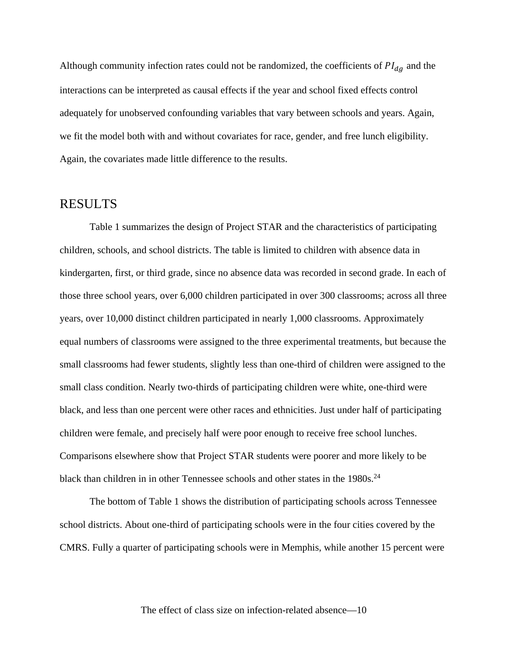Although community infection rates could not be randomized, the coefficients of  $PI_{da}$  and the interactions can be interpreted as causal effects if the year and school fixed effects control adequately for unobserved confounding variables that vary between schools and years. Again, we fit the model both with and without covariates for race, gender, and free lunch eligibility. Again, the covariates made little difference to the results.

#### RESULTS

Table 1 summarizes the design of Project STAR and the characteristics of participating children, schools, and school districts. The table is limited to children with absence data in kindergarten, first, or third grade, since no absence data was recorded in second grade. In each of those three school years, over 6,000 children participated in over 300 classrooms; across all three years, over 10,000 distinct children participated in nearly 1,000 classrooms. Approximately equal numbers of classrooms were assigned to the three experimental treatments, but because the small classrooms had fewer students, slightly less than one-third of children were assigned to the small class condition. Nearly two-thirds of participating children were white, one-third were black, and less than one percent were other races and ethnicities. Just under half of participating children were female, and precisely half were poor enough to receive free school lunches. Comparisons elsewhere show that Project STAR students were poorer and more likely to be black than children in in other Tennessee schools and other states in the 1980s.<sup>24</sup>

The bottom of Table 1 shows the distribution of participating schools across Tennessee school districts. About one-third of participating schools were in the four cities covered by the CMRS. Fully a quarter of participating schools were in Memphis, while another 15 percent were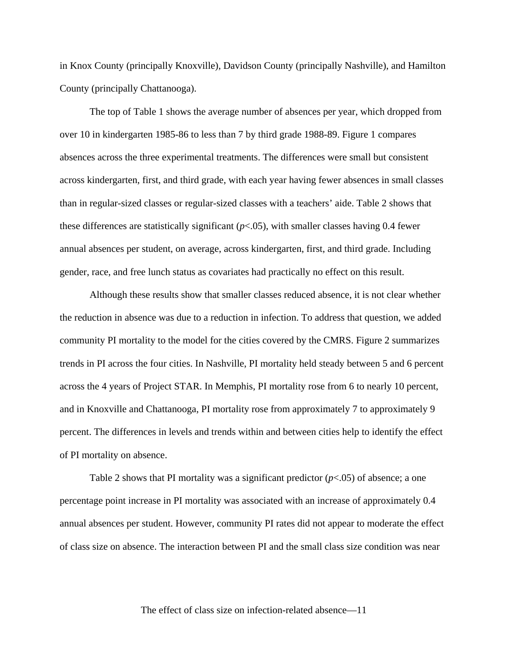in Knox County (principally Knoxville), Davidson County (principally Nashville), and Hamilton County (principally Chattanooga).

The top of Table 1 shows the average number of absences per year, which dropped from over 10 in kindergarten 1985-86 to less than 7 by third grade 1988-89. Figure 1 compares absences across the three experimental treatments. The differences were small but consistent across kindergarten, first, and third grade, with each year having fewer absences in small classes than in regular-sized classes or regular-sized classes with a teachers' aide. Table 2 shows that these differences are statistically significant (*p*<.05), with smaller classes having 0.4 fewer annual absences per student, on average, across kindergarten, first, and third grade. Including gender, race, and free lunch status as covariates had practically no effect on this result.

Although these results show that smaller classes reduced absence, it is not clear whether the reduction in absence was due to a reduction in infection. To address that question, we added community PI mortality to the model for the cities covered by the CMRS. Figure 2 summarizes trends in PI across the four cities. In Nashville, PI mortality held steady between 5 and 6 percent across the 4 years of Project STAR. In Memphis, PI mortality rose from 6 to nearly 10 percent, and in Knoxville and Chattanooga, PI mortality rose from approximately 7 to approximately 9 percent. The differences in levels and trends within and between cities help to identify the effect of PI mortality on absence.

Table 2 shows that PI mortality was a significant predictor  $(p<0.05)$  of absence; a one percentage point increase in PI mortality was associated with an increase of approximately 0.4 annual absences per student. However, community PI rates did not appear to moderate the effect of class size on absence. The interaction between PI and the small class size condition was near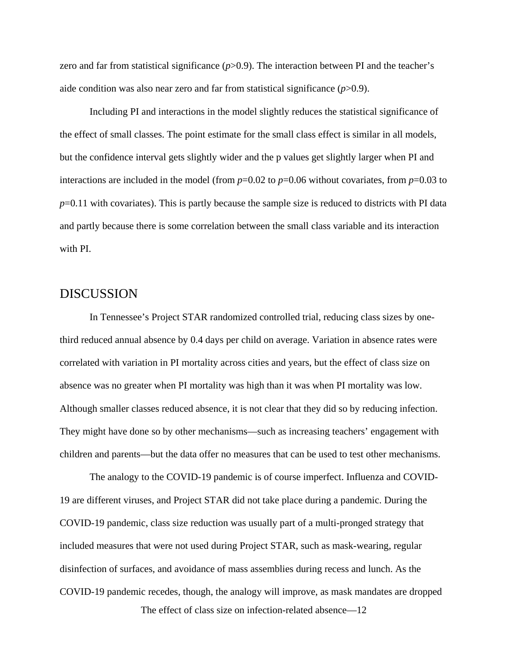zero and far from statistical significance ( $p$ >0.9). The interaction between PI and the teacher's aide condition was also near zero and far from statistical significance (*p*>0.9).

Including PI and interactions in the model slightly reduces the statistical significance of the effect of small classes. The point estimate for the small class effect is similar in all models, but the confidence interval gets slightly wider and the p values get slightly larger when PI and interactions are included in the model (from  $p=0.02$  to  $p=0.06$  without covariates, from  $p=0.03$  to *p*=0.11 with covariates). This is partly because the sample size is reduced to districts with PI data and partly because there is some correlation between the small class variable and its interaction with PI.

#### DISCUSSION

In Tennessee's Project STAR randomized controlled trial, reducing class sizes by onethird reduced annual absence by 0.4 days per child on average. Variation in absence rates were correlated with variation in PI mortality across cities and years, but the effect of class size on absence was no greater when PI mortality was high than it was when PI mortality was low. Although smaller classes reduced absence, it is not clear that they did so by reducing infection. They might have done so by other mechanisms—such as increasing teachers' engagement with children and parents—but the data offer no measures that can be used to test other mechanisms.

The analogy to the COVID-19 pandemic is of course imperfect. Influenza and COVID-19 are different viruses, and Project STAR did not take place during a pandemic. During the COVID-19 pandemic, class size reduction was usually part of a multi-pronged strategy that included measures that were not used during Project STAR, such as mask-wearing, regular disinfection of surfaces, and avoidance of mass assemblies during recess and lunch. As the COVID-19 pandemic recedes, though, the analogy will improve, as mask mandates are dropped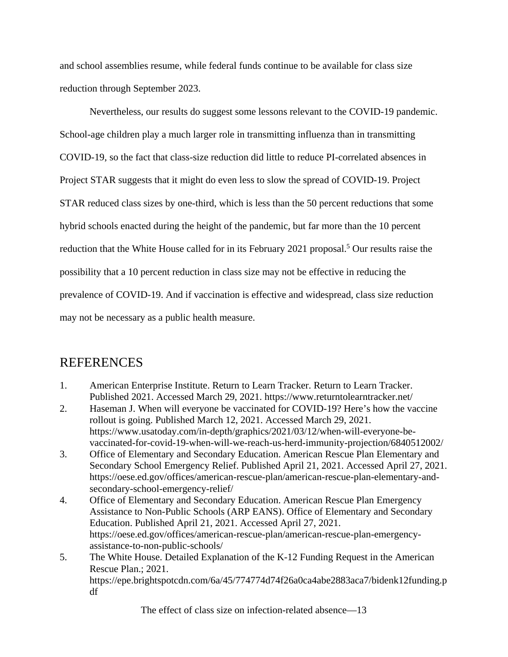and school assemblies resume, while federal funds continue to be available for class size reduction through September 2023.

Nevertheless, our results do suggest some lessons relevant to the COVID-19 pandemic. School-age children play a much larger role in transmitting influenza than in transmitting COVID-19, so the fact that class-size reduction did little to reduce PI-correlated absences in Project STAR suggests that it might do even less to slow the spread of COVID-19. Project STAR reduced class sizes by one-third, which is less than the 50 percent reductions that some hybrid schools enacted during the height of the pandemic, but far more than the 10 percent reduction that the White House called for in its February 2021 proposal.<sup>5</sup> Our results raise the possibility that a 10 percent reduction in class size may not be effective in reducing the prevalence of COVID-19. And if vaccination is effective and widespread, class size reduction may not be necessary as a public health measure.

### REFERENCES

- 1. American Enterprise Institute. Return to Learn Tracker. Return to Learn Tracker. Published 2021. Accessed March 29, 2021. https://www.returntolearntracker.net/
- 2. Haseman J. When will everyone be vaccinated for COVID-19? Here's how the vaccine rollout is going. Published March 12, 2021. Accessed March 29, 2021. https://www.usatoday.com/in-depth/graphics/2021/03/12/when-will-everyone-bevaccinated-for-covid-19-when-will-we-reach-us-herd-immunity-projection/6840512002/
- 3. Office of Elementary and Secondary Education. American Rescue Plan Elementary and Secondary School Emergency Relief. Published April 21, 2021. Accessed April 27, 2021. https://oese.ed.gov/offices/american-rescue-plan/american-rescue-plan-elementary-andsecondary-school-emergency-relief/
- 4. Office of Elementary and Secondary Education. American Rescue Plan Emergency Assistance to Non-Public Schools (ARP EANS). Office of Elementary and Secondary Education. Published April 21, 2021. Accessed April 27, 2021. https://oese.ed.gov/offices/american-rescue-plan/american-rescue-plan-emergencyassistance-to-non-public-schools/
- 5. The White House. Detailed Explanation of the K-12 Funding Request in the American Rescue Plan.; 2021. https://epe.brightspotcdn.com/6a/45/774774d74f26a0ca4abe2883aca7/bidenk12funding.p df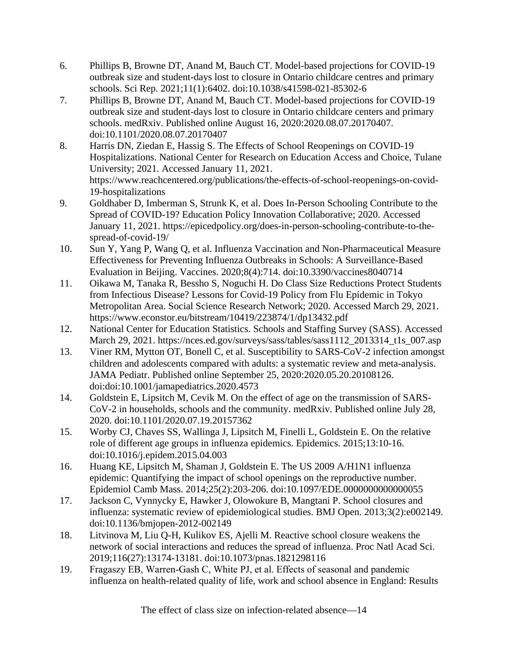- 6. Phillips B, Browne DT, Anand M, Bauch CT. Model-based projections for COVID-19 outbreak size and student-days lost to closure in Ontario childcare centres and primary schools. Sci Rep. 2021;11(1):6402. doi:10.1038/s41598-021-85302-6
- 7. Phillips B, Browne DT, Anand M, Bauch CT. Model-based projections for COVID-19 outbreak size and student-days lost to closure in Ontario childcare centers and primary schools. medRxiv. Published online August 16, 2020:2020.08.07.20170407. doi:10.1101/2020.08.07.20170407
- 8. Harris DN, Ziedan E, Hassig S. The Effects of School Reopenings on COVID-19 Hospitalizations. National Center for Research on Education Access and Choice, Tulane University; 2021. Accessed January 11, 2021. https://www.reachcentered.org/publications/the-effects-of-school-reopenings-on-covid-19-hospitalizations
- 9. Goldhaber D, Imberman S, Strunk K, et al. Does In-Person Schooling Contribute to the Spread of COVID-19? Education Policy Innovation Collaborative; 2020. Accessed January 11, 2021. https://epicedpolicy.org/does-in-person-schooling-contribute-to-thespread-of-covid-19/
- 10. Sun Y, Yang P, Wang Q, et al. Influenza Vaccination and Non-Pharmaceutical Measure Effectiveness for Preventing Influenza Outbreaks in Schools: A Surveillance-Based Evaluation in Beijing. Vaccines. 2020;8(4):714. doi:10.3390/vaccines8040714
- 11. Oikawa M, Tanaka R, Bessho S, Noguchi H. Do Class Size Reductions Protect Students from Infectious Disease? Lessons for Covid-19 Policy from Flu Epidemic in Tokyo Metropolitan Area. Social Science Research Network; 2020. Accessed March 29, 2021. https://www.econstor.eu/bitstream/10419/223874/1/dp13432.pdf
- 12. National Center for Education Statistics. Schools and Staffing Survey (SASS). Accessed March 29, 2021. https://nces.ed.gov/surveys/sass/tables/sass1112\_2013314\_t1s\_007.asp
- 13. Viner RM, Mytton OT, Bonell C, et al. Susceptibility to SARS-CoV-2 infection amongst children and adolescents compared with adults: a systematic review and meta-analysis. JAMA Pediatr. Published online September 25, 2020:2020.05.20.20108126. doi:doi:10.1001/jamapediatrics.2020.4573
- 14. Goldstein E, Lipsitch M, Cevik M. On the effect of age on the transmission of SARS-CoV-2 in households, schools and the community. medRxiv. Published online July 28, 2020. doi:10.1101/2020.07.19.20157362
- 15. Worby CJ, Chaves SS, Wallinga J, Lipsitch M, Finelli L, Goldstein E. On the relative role of different age groups in influenza epidemics. Epidemics. 2015;13:10-16. doi:10.1016/j.epidem.2015.04.003
- 16. Huang KE, Lipsitch M, Shaman J, Goldstein E. The US 2009 A/H1N1 influenza epidemic: Quantifying the impact of school openings on the reproductive number. Epidemiol Camb Mass. 2014;25(2):203-206. doi:10.1097/EDE.0000000000000055
- 17. Jackson C, Vynnycky E, Hawker J, Olowokure B, Mangtani P. School closures and influenza: systematic review of epidemiological studies. BMJ Open. 2013;3(2):e002149. doi:10.1136/bmjopen-2012-002149
- 18. Litvinova M, Liu Q-H, Kulikov ES, Ajelli M. Reactive school closure weakens the network of social interactions and reduces the spread of influenza. Proc Natl Acad Sci. 2019;116(27):13174-13181. doi:10.1073/pnas.1821298116
- 19. Fragaszy EB, Warren‐Gash C, White PJ, et al. Effects of seasonal and pandemic influenza on health-related quality of life, work and school absence in England: Results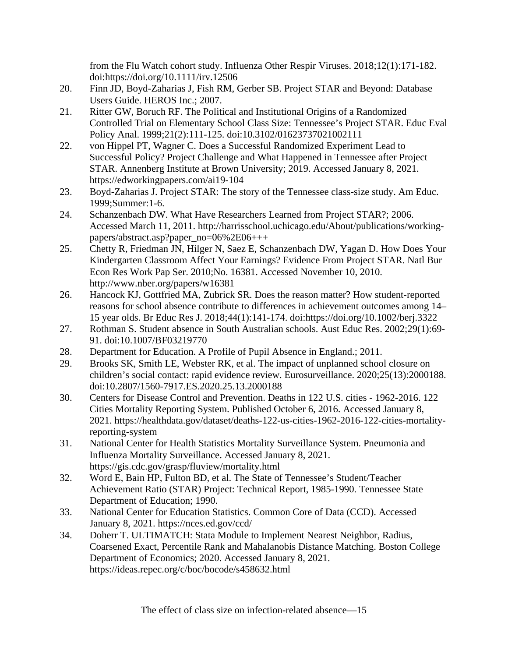from the Flu Watch cohort study. Influenza Other Respir Viruses. 2018;12(1):171-182. doi:https://doi.org/10.1111/irv.12506

- 20. Finn JD, Boyd-Zaharias J, Fish RM, Gerber SB. Project STAR and Beyond: Database Users Guide. HEROS Inc.; 2007.
- 21. Ritter GW, Boruch RF. The Political and Institutional Origins of a Randomized Controlled Trial on Elementary School Class Size: Tennessee's Project STAR. Educ Eval Policy Anal. 1999;21(2):111-125. doi:10.3102/01623737021002111
- 22. von Hippel PT, Wagner C. Does a Successful Randomized Experiment Lead to Successful Policy? Project Challenge and What Happened in Tennessee after Project STAR. Annenberg Institute at Brown University; 2019. Accessed January 8, 2021. https://edworkingpapers.com/ai19-104
- 23. Boyd-Zaharias J. Project STAR: The story of the Tennessee class-size study. Am Educ. 1999;Summer:1-6.
- 24. Schanzenbach DW. What Have Researchers Learned from Project STAR?; 2006. Accessed March 11, 2011. http://harrisschool.uchicago.edu/About/publications/workingpapers/abstract.asp?paper\_no=06%2E06+++
- 25. Chetty R, Friedman JN, Hilger N, Saez E, Schanzenbach DW, Yagan D. How Does Your Kindergarten Classroom Affect Your Earnings? Evidence From Project STAR. Natl Bur Econ Res Work Pap Ser. 2010;No. 16381. Accessed November 10, 2010. http://www.nber.org/papers/w16381
- 26. Hancock KJ, Gottfried MA, Zubrick SR. Does the reason matter? How student-reported reasons for school absence contribute to differences in achievement outcomes among 14– 15 year olds. Br Educ Res J. 2018;44(1):141-174. doi:https://doi.org/10.1002/berj.3322
- 27. Rothman S. Student absence in South Australian schools. Aust Educ Res. 2002;29(1):69- 91. doi:10.1007/BF03219770
- 28. Department for Education. A Profile of Pupil Absence in England.; 2011.
- 29. Brooks SK, Smith LE, Webster RK, et al. The impact of unplanned school closure on children's social contact: rapid evidence review. Eurosurveillance. 2020;25(13):2000188. doi:10.2807/1560-7917.ES.2020.25.13.2000188
- 30. Centers for Disease Control and Prevention. Deaths in 122 U.S. cities 1962-2016. 122 Cities Mortality Reporting System. Published October 6, 2016. Accessed January 8, 2021. https://healthdata.gov/dataset/deaths-122-us-cities-1962-2016-122-cities-mortalityreporting-system
- 31. National Center for Health Statistics Mortality Surveillance System. Pneumonia and Influenza Mortality Surveillance. Accessed January 8, 2021. https://gis.cdc.gov/grasp/fluview/mortality.html
- 32. Word E, Bain HP, Fulton BD, et al. The State of Tennessee's Student/Teacher Achievement Ratio (STAR) Project: Technical Report, 1985-1990. Tennessee State Department of Education; 1990.
- 33. National Center for Education Statistics. Common Core of Data (CCD). Accessed January 8, 2021. https://nces.ed.gov/ccd/
- 34. Doherr T. ULTIMATCH: Stata Module to Implement Nearest Neighbor, Radius, Coarsened Exact, Percentile Rank and Mahalanobis Distance Matching. Boston College Department of Economics; 2020. Accessed January 8, 2021. https://ideas.repec.org/c/boc/bocode/s458632.html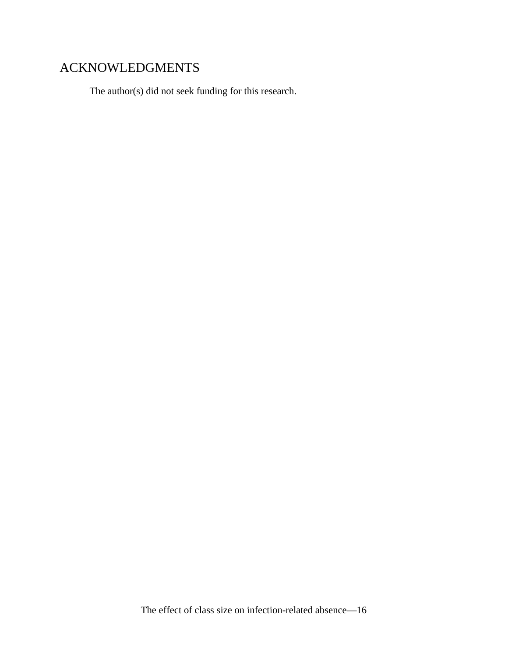# ACKNOWLEDGMENTS

The author(s) did not seek funding for this research.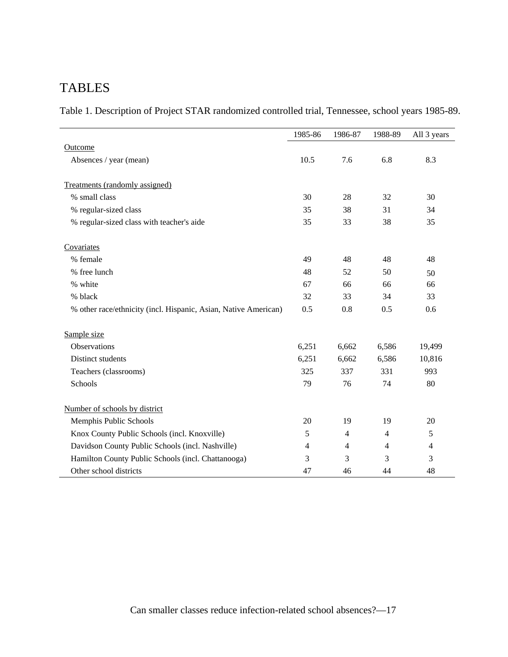# TABLES

Table 1. Description of Project STAR randomized controlled trial, Tennessee, school years 1985-89.

|                                                                 | 1985-86 | 1986-87        | 1988-89        | All 3 years |
|-----------------------------------------------------------------|---------|----------------|----------------|-------------|
| Outcome                                                         |         |                |                |             |
| Absences / year (mean)                                          | 10.5    | 7.6            | 6.8            | 8.3         |
| Treatments (randomly assigned)                                  |         |                |                |             |
| % small class                                                   | 30      | 28             | 32             | 30          |
| % regular-sized class                                           | 35      | 38             | 31             | 34          |
| % regular-sized class with teacher's aide                       | 35      | 33             | 38             | 35          |
| Covariates                                                      |         |                |                |             |
| % female                                                        | 49      | 48             | 48             | 48          |
| % free lunch                                                    | 48      | 52             | 50             | 50          |
| % white                                                         | 67      | 66             | 66             | 66          |
| % black                                                         | 32      | 33             | 34             | 33          |
| % other race/ethnicity (incl. Hispanic, Asian, Native American) | 0.5     | 0.8            | 0.5            | 0.6         |
| Sample size                                                     |         |                |                |             |
| Observations                                                    | 6,251   | 6,662          | 6,586          | 19,499      |
| Distinct students                                               | 6,251   | 6,662          | 6,586          | 10,816      |
| Teachers (classrooms)                                           | 325     | 337            | 331            | 993         |
| Schools                                                         | 79      | 76             | 74             | 80          |
| Number of schools by district                                   |         |                |                |             |
| Memphis Public Schools                                          | 20      | 19             | 19             | 20          |
| Knox County Public Schools (incl. Knoxville)                    | 5       | $\overline{4}$ | 4              | 5           |
| Davidson County Public Schools (incl. Nashville)                | 4       | 4              | $\overline{4}$ | 4           |
| Hamilton County Public Schools (incl. Chattanooga)              | 3       | 3              | 3              | 3           |
| Other school districts                                          | 47      | 46             | 44             | 48          |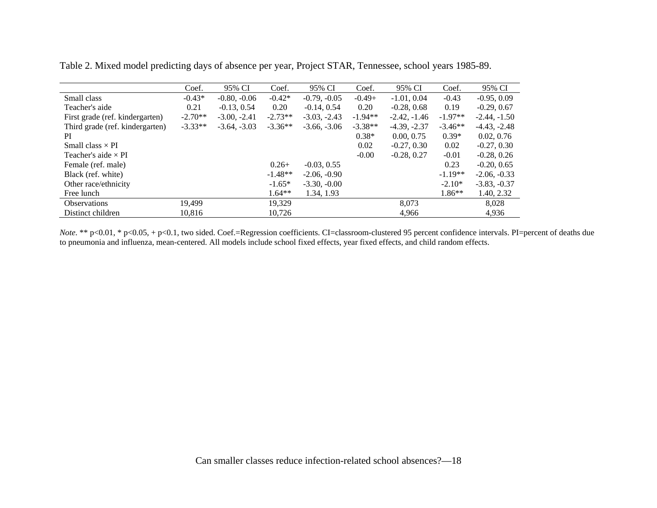|                                 | Coef.     | 95% CI         | Coef.     | 95% CI         | Coef.     | 95% CI         | Coef.     | 95% CI         |
|---------------------------------|-----------|----------------|-----------|----------------|-----------|----------------|-----------|----------------|
| Small class                     | $-0.43*$  | $-0.80, -0.06$ | $-0.42*$  | $-0.79, -0.05$ | $-0.49+$  | $-1.01, 0.04$  | $-0.43$   | $-0.95, 0.09$  |
| Teacher's aide                  | 0.21      | $-0.13, 0.54$  | 0.20      | $-0.14, 0.54$  | 0.20      | $-0.28, 0.68$  | 0.19      | $-0.29, 0.67$  |
| First grade (ref. kindergarten) | $-2.70**$ | $-3.00, -2.41$ | $-2.73**$ | $-3.03, -2.43$ | $-1.94**$ | $-2.42, -1.46$ | $-1.97**$ | $-2.44, -1.50$ |
| Third grade (ref. kindergarten) | $-3.33**$ | $-3.64, -3.03$ | $-3.36**$ | $-3.66, -3.06$ | $-3.38**$ | $-4.39, -2.37$ | $-3.46**$ | $-4.43, -2.48$ |
| <sub>PI</sub>                   |           |                |           |                | $0.38*$   | 0.00, 0.75     | $0.39*$   | 0.02, 0.76     |
| Small class $\times$ PI         |           |                |           |                | 0.02      | $-0.27, 0.30$  | 0.02      | $-0.27, 0.30$  |
| Teacher's aide $\times$ PI      |           |                |           |                | $-0.00$   | $-0.28, 0.27$  | $-0.01$   | $-0.28, 0.26$  |
| Female (ref. male)              |           |                | $0.26+$   | $-0.03, 0.55$  |           |                | 0.23      | $-0.20, 0.65$  |
| Black (ref. white)              |           |                | $-1.48**$ | $-2.06, -0.90$ |           |                | $-1.19**$ | $-2.06, -0.33$ |
| Other race/ethnicity            |           |                | $-1.65*$  | $-3.30, -0.00$ |           |                | $-2.10*$  | $-3.83, -0.37$ |
| Free lunch                      |           |                | $1.64**$  | 1.34, 1.93     |           |                | $1.86**$  | 1.40, 2.32     |
| <b>Observations</b>             | 19.499    |                | 19.329    |                |           | 8.073          |           | 8.028          |
| Distinct children               | 10.816    |                | 10.726    |                |           | 4,966          |           | 4,936          |

Table 2. Mixed model predicting days of absence per year, Project STAR, Tennessee, school years 1985-89.

*Note*. \*\* p<0.01, \* p<0.05, + p<0.1, two sided. Coef.=Regression coefficients. CI=classroom-clustered 95 percent confidence intervals. PI=percent of deaths due to pneumonia and influenza, mean-centered. All models include school fixed effects, year fixed effects, and child random effects.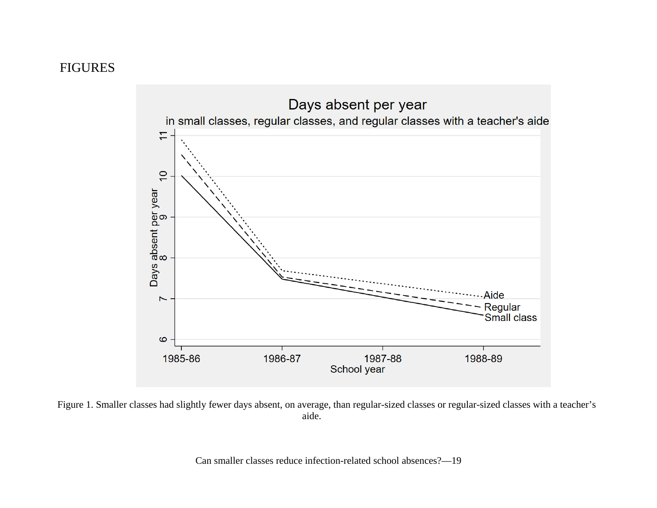### FIGURES



Figure 1. Smaller classes had slightly fewer days absent, on average, than regular-sized classes or regular-sized classes with a teacher's aide.

Can smaller classes reduce infection-related school absences?—19